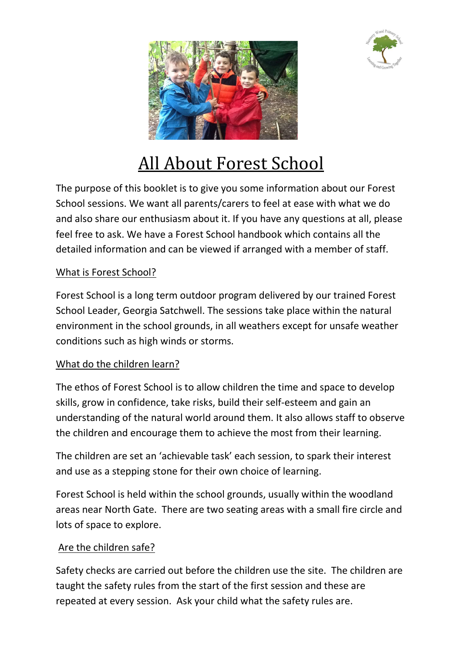



# All About Forest School

The purpose of this booklet is to give you some information about our Forest School sessions. We want all parents/carers to feel at ease with what we do and also share our enthusiasm about it. If you have any questions at all, please feel free to ask. We have a Forest School handbook which contains all the detailed information and can be viewed if arranged with a member of staff.

## What is Forest School?

Forest School is a long term outdoor program delivered by our trained Forest School Leader, Georgia Satchwell. The sessions take place within the natural environment in the school grounds, in all weathers except for unsafe weather conditions such as high winds or storms.

## What do the children learn?

The ethos of Forest School is to allow children the time and space to develop skills, grow in confidence, take risks, build their self-esteem and gain an understanding of the natural world around them. It also allows staff to observe the children and encourage them to achieve the most from their learning.

The children are set an 'achievable task' each session, to spark their interest and use as a stepping stone for their own choice of learning.

Forest School is held within the school grounds, usually within the woodland areas near North Gate. There are two seating areas with a small fire circle and lots of space to explore.

#### Are the children safe?

Safety checks are carried out before the children use the site. The children are taught the safety rules from the start of the first session and these are repeated at every session. Ask your child what the safety rules are.